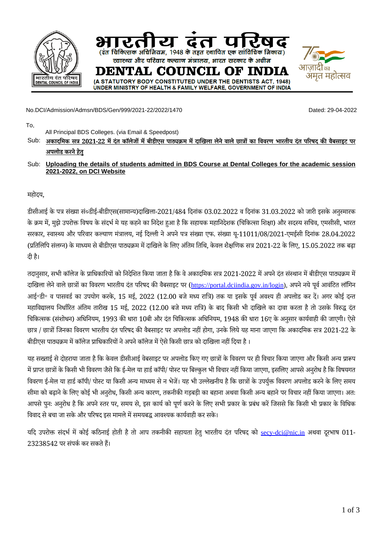

No.DCI/Admission/Admsn/BDS/Gen/999/2021-22/2022/1470 Dated: 29-04-2022

To,

All Principal BDS Colleges. (via Email & Speedpost)

- Sub: अकादमिक सत्र 2021-22 में दंत कॉलेजों में बीडीएस पाठ्यक्रम में दाखिला लेने वाले छात्रों का विवरण भारतीय दंत परिषद की वैबसाइट पर **अपलोड करने हतुे**
- Sub: **Uploading the details of students admitted in BDS Course at Dental Colleges for the academic session 2021-2022, on DCI Website**

महोदय,

डीसीआई के पत्र संख्या सं०डीई-बीडीएस(सामान्य)दाखिला-2021/484 दिनांक 03.02.2022 व दिनांक 31.03.2022 को जारी इसके अनुस्मारक के क्रम में, मुझे उपरोक्त विषय के संदर्भ मे यह कहने का निदेश हुआ है कि सहायक महानिदेशक (चिकित्सा शिक्षा) और सदस्य सचिव, एमसीसी, भारत सरकार, स्वास्थ्य और परिवार कल्याण मंत्रालय, नई दिल्ली ने अपने पत्र संख्या एफ. संख्या यू-11011/08/2021-एमईसी दिनांक 28.04.2022 (प्रतिलिपि संलग्न) केमाध्यम सेबीडीएस पाठ्यक्रम मेंदाखिलेकेलिए अंतिम तिथि, केवल शैक्षणिक सत्र 2021-22 केलिए, 15.05.2022 तक बढ़ा दी है।

तदानुसार, सभी कॉलेज के प्राधिकारियों को निदेशित किया जाता है कि वे अकादमिक सत्र 2021-2022 में अपने दंत संस्थान में बीडीएस पाठ्यक्रम में दाखिला लेने वाले छात्रों का विवरण भारतीय दंत परिषद की वैबसाइट पर ([https://portal.dciindia.gov.in/login\)](https://portal.dciindia.gov.in/login), अपने नये पूर्व आवंटित लॉगिन आई॰डी॰ व पासवर्ड का उपयोग करके, 15 मई, 2022 (12.00 बजेमध्य रात्रि) तक या इसके पूर्व अवश्य ही अपलोड कर दें। अगर कोई दन्त महाविद्यालय निर्धारित अंतिम तारीख 15 मई, 2022 (12.00 बजे मध्य रात्रि) के बाद किसी भी दाखिले का दावा करता है तो उसके विरुद्ध दंत चिकित्सक (संशोधन) अधिनियम, 1993 की धारा 10बी और दंत चिकित्सक अधिनियम, 1948 की धारा 16ए केअनुसार कार्यवाही की जाएगी। ऐसे छात्र / छात्रों जिनका विवरण भारतीय दंत परिषद की वैबसाइट पर अपलोड नहीं होगा, उनकेलियेयह माना जाएगा कि अकादमिक सत्र 2021-22 के बीडीएस पाठ्यक्रम में कॉलेज प्राधिकारियों ने अपने कॉलेज में ऐसे किसी छात्र को दाखिला नहीं दिया है ।

यह सख्ताई से दोहराया जाता है कि केवल डीसीआई वेबसाइट पर अपलोड किए गए छात्रों के विवरण पर ही विचार किया जाएगा और किसी अन्य प्रारूप मेंप्राप्त छात्रों केकिसी भी विवरण जैसे कि ई-मेल या हार्ड कॉपी/ पोस्ट पर बिल्कुल भी विचार नहीं किया जाएगा, इसलिए आपसे अनुरोध हैकि विषयगत विवरण ई-मेल या हार्ड कॉपी/ पोस्ट या किसी अन्य माध्यम से न भेजें। यह भी उल्लेखनीय है कि छात्रों के उपर्युक्त विवरण अपलोड करने के लिए समय सीमा को बढ़ाने के लिए कोई भी अनुरोध, किसी अन्य कारण, तकनीकी गड़बड़ी का बहाना अथवा किसी अन्य बहाने पर विचार नहीं किया जाएगा। अत: आपसे पुन: अनुरोध है कि अपने स्तर पर, समय से, इस कार्य को पूर्ण करने के लिए सभी प्रकार के प्रबंध करें जिससे कि किसी भी प्रकार के विधिक विवाद से बचा जा सके और परिषद इस मामले में समयबद्ध आवश्यक कार्यवाही कर सके।

यदि उपरोक्त संदर्भ में कोई कठिनाई होती है तो आप तकनीकी सहायता हेतु भारतीय दंत परिषद को [secy-dci@nic.in](mailto:secy-dci@nic.in) अथवा दूरभाष 011- $23238542$  पर संपर्क कर सकते हैं।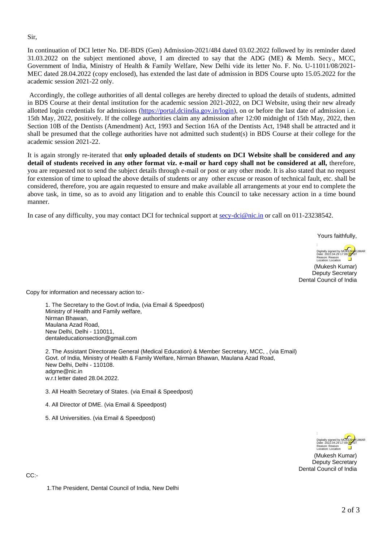Sir,

In continuation of DCI letter No. DE-BDS (Gen) Admission-2021/484 dated 03.02.2022 followed by its reminder dated 31.03.2022 on the subject mentioned above, I am directed to say that the ADG (ME) & Memb. Secy., MCC, Government of India, Ministry of Health & Family Welfare, New Delhi vide its letter No. F. No. U-11011/08/2021- MEC dated 28.04.2022 (copy enclosed), has extended the last date of admission in BDS Course upto 15.05.2022 for the academic session 2021-22 only.

Accordingly, the college authorities of all dental colleges are hereby directed to upload the details of students, admitted in BDS Course at their dental institution for the academic session 2021-2022, on DCI Website, using their new already allotted login credentials for admissions [\(https://portal.dciindia.gov.in/login](https://portal.dciindia.gov.in/login)), on or before the last date of admission i.e. 15th May, 2022, positively. If the college authorities claim any admission after 12:00 midnight of 15th May, 2022, then Section 10B of the Dentists (Amendment) Act, 1993 and Section 16A of the Dentists Act, 1948 shall be attracted and it shall be presumed that the college authorities have not admitted such student(s) in BDS Course at their college for the academic session 2021-22.

It is again strongly re-iterated that **only uploaded details of students on DCI Website shall be considered and any detail of students received in any other format viz. e-mail or hard copy shall not be considered at all,** therefore, you are requested not to send the subject details through e-mail or post or any other mode. It is also stated that no request for extension of time to upload the above details of students or any other excuse or reason of technical fault, etc. shall be considered, therefore, you are again requested to ensure and make available all arrangements at your end to complete the above task, in time, so as to avoid any litigation and to enable this Council to take necessary action in a time bound manner.

In case of any difficulty, you may contact DCI for technical support at [secy-dci@nic.in](mailto:secy-dci@nic.in) or call on 011-23238542.

Yours faithfully,

Digitally signed by MUKE<mark>SH</mark>/KUMAR<br>Date: 2022.04.29 17:09<mark>:35</mark> IST Reason: Reason Location: Location

(Mukesh Kumar) Deputy Secretary Dental Council of India

Copy for information and necessary action to:-

1. The Secretary to the Govt.of India, (via Email & Speedpost) Ministry of Health and Family welfare, Nirman Bhawan, Maulana Azad Road, New Delhi, Delhi - 110011, dentaleducationsection@gmail.com

2. The Assistant Directorate General (Medical Education) & Member Secretary, MCC, , (via Email) Govt. of India, Ministry of Health & Family Welfare, Nirman Bhawan, Maulana Azad Road, New Delhi, Delhi - 110108. adgme@nic.in w.r.t letter dated 28.04.2022.

3. All Health Secretary of States. (via Email & Speedpost)

4. All Director of DME. (via Email & Speedpost)

5. All Universities. (via Email & Speedpost)



(Mukesh Kumar) Deputy Secretary Dental Council of India

CC:-

1.The President, Dental Council of India, New Delhi